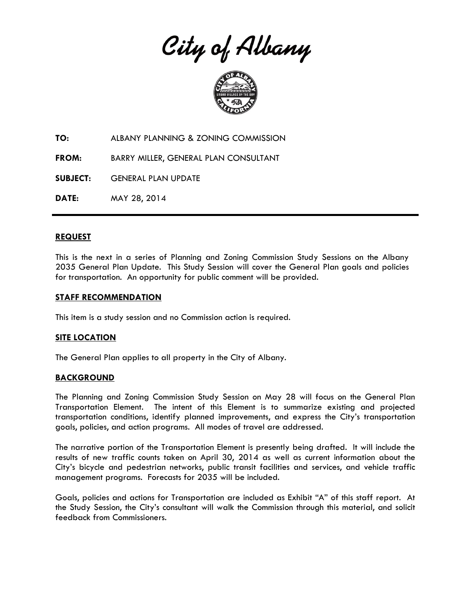City of Albany



**TO:** ALBANY PLANNING & ZONING COMMISSION

**FROM:** BARRY MILLER, GENERAL PLAN CONSULTANT

**SUBJECT:** GENERAL PLAN UPDATE

**DATE:** MAY 28, 2014

### **REQUEST**

This is the next in a series of Planning and Zoning Commission Study Sessions on the Albany 2035 General Plan Update. This Study Session will cover the General Plan goals and policies for transportation. An opportunity for public comment will be provided.

### **STAFF RECOMMENDATION**

This item is a study session and no Commission action is required.

### **SITE LOCATION**

The General Plan applies to all property in the City of Albany.

### **BACKGROUND**

The Planning and Zoning Commission Study Session on May 28 will focus on the General Plan Transportation Element. The intent of this Element is to summarize existing and projected transportation conditions, identify planned improvements, and express the City's transportation goals, policies, and action programs. All modes of travel are addressed.

The narrative portion of the Transportation Element is presently being drafted. It will include the results of new traffic counts taken on April 30, 2014 as well as current information about the City's bicycle and pedestrian networks, public transit facilities and services, and vehicle traffic management programs. Forecasts for 2035 will be included.

Goals, policies and actions for Transportation are included as Exhibit "A" of this staff report. At the Study Session, the City's consultant will walk the Commission through this material, and solicit feedback from Commissioners.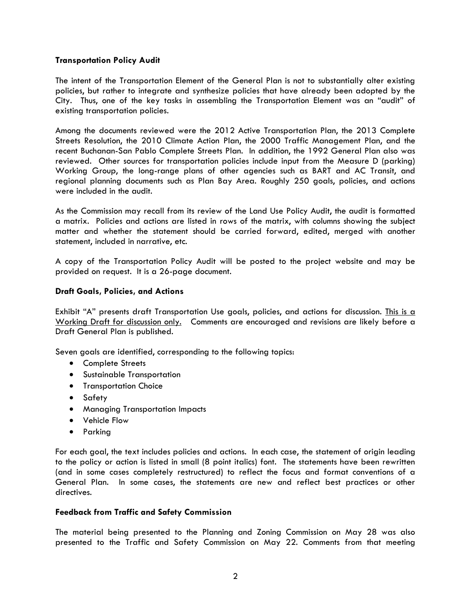# **Transportation Policy Audit**

The intent of the Transportation Element of the General Plan is not to substantially alter existing policies, but rather to integrate and synthesize policies that have already been adopted by the City. Thus, one of the key tasks in assembling the Transportation Element was an "audit" of existing transportation policies.

Among the documents reviewed were the 2012 Active Transportation Plan, the 2013 Complete Streets Resolution, the 2010 Climate Action Plan, the 2000 Traffic Management Plan, and the recent Buchanan-San Pablo Complete Streets Plan. In addition, the 1992 General Plan also was reviewed. Other sources for transportation policies include input from the Measure D (parking) Working Group, the long-range plans of other agencies such as BART and AC Transit, and regional planning documents such as Plan Bay Area. Roughly 250 goals, policies, and actions were included in the audit.

As the Commission may recall from its review of the Land Use Policy Audit, the audit is formatted a matrix. Policies and actions are listed in rows of the matrix, with columns showing the subject matter and whether the statement should be carried forward, edited, merged with another statement, included in narrative, etc.

A copy of the Transportation Policy Audit will be posted to the project website and may be provided on request. It is a 26-page document.

# **Draft Goals, Policies, and Actions**

Exhibit "A" presents draft Transportation Use goals, policies, and actions for discussion. This is a Working Draft for discussion only. Comments are encouraged and revisions are likely before a Draft General Plan is published.

Seven goals are identified, corresponding to the following topics:

- Complete Streets
- Sustainable Transportation
- **•** Transportation Choice
- **•** Safety
- Managing Transportation Impacts
- Vehicle Flow
- Parking

For each goal, the text includes policies and actions. In each case, the statement of origin leading to the policy or action is listed in small (8 point italics) font. The statements have been rewritten (and in some cases completely restructured) to reflect the focus and format conventions of a General Plan. In some cases, the statements are new and reflect best practices or other directives.

## **Feedback from Traffic and Safety Commission**

The material being presented to the Planning and Zoning Commission on May 28 was also presented to the Traffic and Safety Commission on May 22. Comments from that meeting